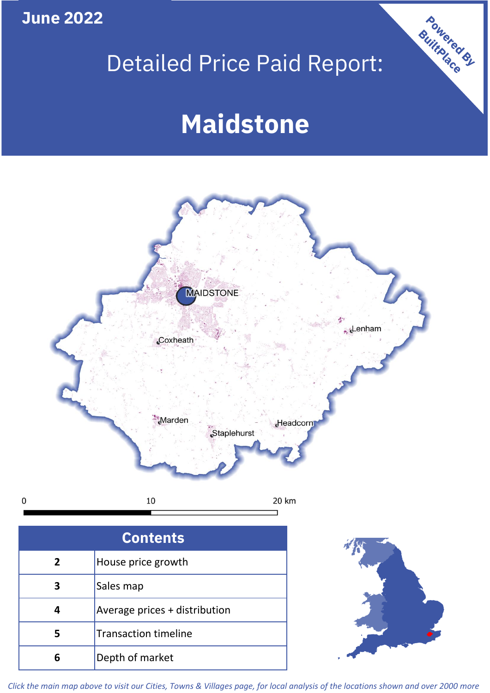**June 2022**

**5**

**4**

**3**

Sales map

**6** Depth of market

Average prices + distribution

Transaction timeline

## Detailed Price Paid Report:

Powered By

# **Maidstone**



*Click the main map above to visit our Cities, Towns & Villages page, for local analysis of the locations shown and over 2000 more*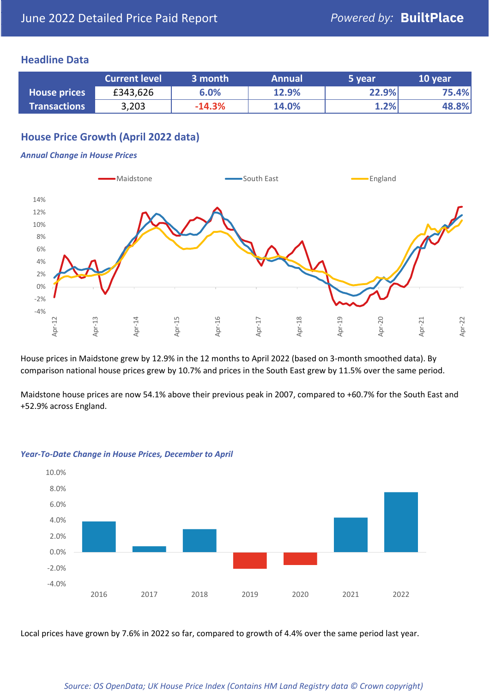## **Headline Data**

|                     | <b>Current level</b> | 3 month  | <b>Annual</b> | 5 year | 10 year |
|---------------------|----------------------|----------|---------------|--------|---------|
| <b>House prices</b> | £343,626             | 6.0%     | 12.9%         | 22.9%  | 75.4%   |
| <b>Transactions</b> | 3,203                | $-14.3%$ | 14.0%         | 1.2%   | 48.8%   |

## **House Price Growth (April 2022 data)**

#### *Annual Change in House Prices*



House prices in Maidstone grew by 12.9% in the 12 months to April 2022 (based on 3-month smoothed data). By comparison national house prices grew by 10.7% and prices in the South East grew by 11.5% over the same period.

Maidstone house prices are now 54.1% above their previous peak in 2007, compared to +60.7% for the South East and +52.9% across England.



#### *Year-To-Date Change in House Prices, December to April*

Local prices have grown by 7.6% in 2022 so far, compared to growth of 4.4% over the same period last year.

#### *Source: OS OpenData; UK House Price Index (Contains HM Land Registry data © Crown copyright)*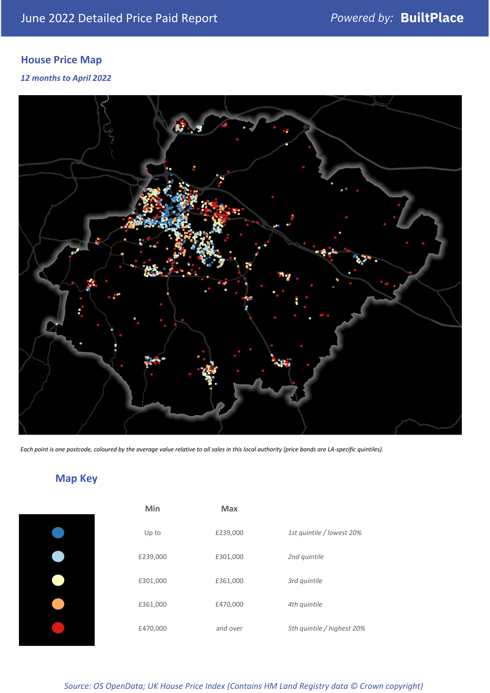## **House Price Map**

### *12 months to April 2022*



*Each point is one postcode, coloured by the average value relative to all sales in this local authority (price bands are LA-specific quintiles).*

## **Map Key**

| £2 |
|----|
| £3 |
| £3 |
| £  |
|    |

| Min      | Max      |                            |
|----------|----------|----------------------------|
| Up to    | £239,000 | 1st quintile / lowest 20%  |
| £239,000 | £301,000 | 2nd quintile               |
| £301,000 | £361,000 | 3rd quintile               |
| £361,000 | £470,000 | 4th quintile               |
| £470,000 | and over | 5th quintile / highest 20% |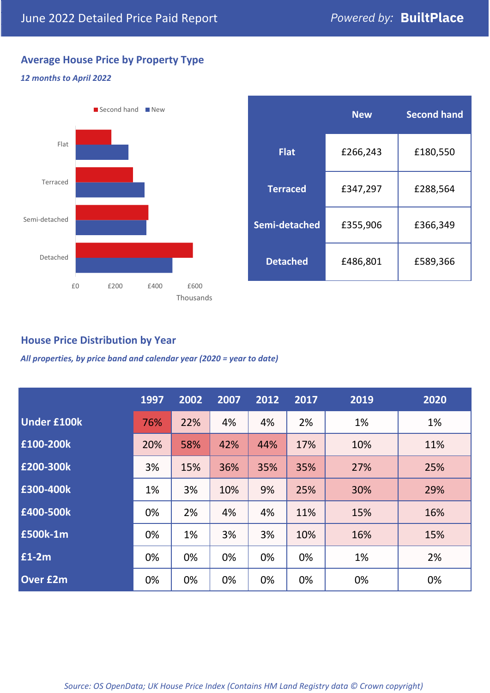## **Average House Price by Property Type**

### *12 months to April 2022*



## **House Price Distribution by Year**

*All properties, by price band and calendar year (2020 = year to date)*

|                    | 1997 | 2002 | 2007 | 2012 | 2017 | 2019 | 2020 |
|--------------------|------|------|------|------|------|------|------|
| <b>Under £100k</b> | 76%  | 22%  | 4%   | 4%   | 2%   | 1%   | 1%   |
| £100-200k          | 20%  | 58%  | 42%  | 44%  | 17%  | 10%  | 11%  |
| £200-300k          | 3%   | 15%  | 36%  | 35%  | 35%  | 27%  | 25%  |
| E300-400k          | 1%   | 3%   | 10%  | 9%   | 25%  | 30%  | 29%  |
| £400-500k          | 0%   | 2%   | 4%   | 4%   | 11%  | 15%  | 16%  |
| <b>£500k-1m</b>    | 0%   | 1%   | 3%   | 3%   | 10%  | 16%  | 15%  |
| £1-2m              | 0%   | 0%   | 0%   | 0%   | 0%   | 1%   | 2%   |
| <b>Over £2m</b>    | 0%   | 0%   | 0%   | 0%   | 0%   | 0%   | 0%   |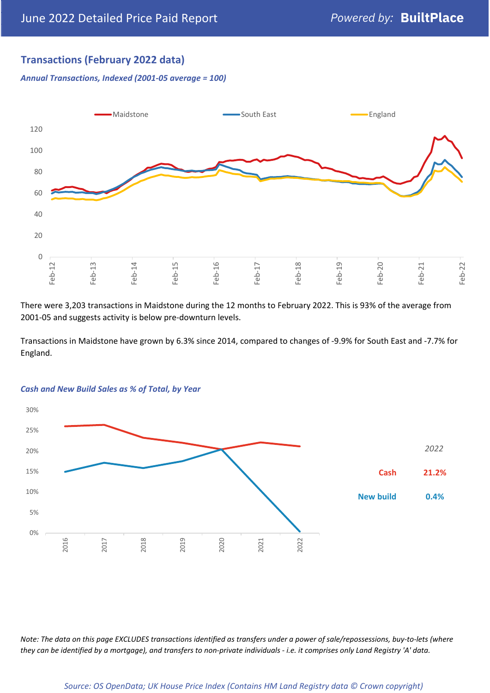## **Transactions (February 2022 data)**

*Annual Transactions, Indexed (2001-05 average = 100)*



There were 3,203 transactions in Maidstone during the 12 months to February 2022. This is 93% of the average from 2001-05 and suggests activity is below pre-downturn levels.

Transactions in Maidstone have grown by 6.3% since 2014, compared to changes of -9.9% for South East and -7.7% for England.



#### *Cash and New Build Sales as % of Total, by Year*

*Note: The data on this page EXCLUDES transactions identified as transfers under a power of sale/repossessions, buy-to-lets (where they can be identified by a mortgage), and transfers to non-private individuals - i.e. it comprises only Land Registry 'A' data.*